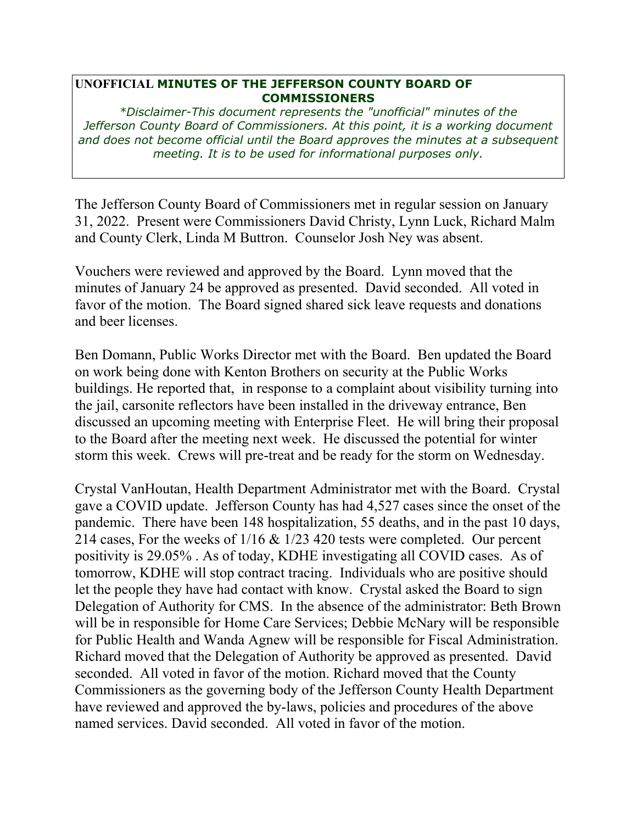## **UNOFFICIAL MINUTES OF THE JEFFERSON COUNTY BOARD OF COMMISSIONERS**

*\*Disclaimer-This document represents the "unofficial" minutes of the Jefferson County Board of Commissioners. At this point, it is a working document and does not become official until the Board approves the minutes at a subsequent meeting. It is to be used for informational purposes only.* 

The Jefferson County Board of Commissioners met in regular session on January 31, 2022. Present were Commissioners David Christy, Lynn Luck, Richard Malm and County Clerk, Linda M Buttron. Counselor Josh Ney was absent.

Vouchers were reviewed and approved by the Board. Lynn moved that the minutes of January 24 be approved as presented. David seconded. All voted in favor of the motion. The Board signed shared sick leave requests and donations and beer licenses.

Ben Domann, Public Works Director met with the Board. Ben updated the Board on work being done with Kenton Brothers on security at the Public Works buildings. He reported that, in response to a complaint about visibility turning into the jail, carsonite reflectors have been installed in the driveway entrance, Ben discussed an upcoming meeting with Enterprise Fleet. He will bring their proposal to the Board after the meeting next week. He discussed the potential for winter storm this week. Crews will pre-treat and be ready for the storm on Wednesday.

Crystal VanHoutan, Health Department Administrator met with the Board. Crystal gave a COVID update. Jefferson County has had 4,527 cases since the onset of the pandemic. There have been 148 hospitalization, 55 deaths, and in the past 10 days, 214 cases, For the weeks of 1/16 & 1/23 420 tests were completed. Our percent positivity is 29.05% . As of today, KDHE investigating all COVID cases. As of tomorrow, KDHE will stop contract tracing. Individuals who are positive should let the people they have had contact with know. Crystal asked the Board to sign Delegation of Authority for CMS. In the absence of the administrator: Beth Brown will be in responsible for Home Care Services; Debbie McNary will be responsible for Public Health and Wanda Agnew will be responsible for Fiscal Administration. Richard moved that the Delegation of Authority be approved as presented. David seconded. All voted in favor of the motion. Richard moved that the County Commissioners as the governing body of the Jefferson County Health Department have reviewed and approved the by-laws, policies and procedures of the above named services. David seconded. All voted in favor of the motion.